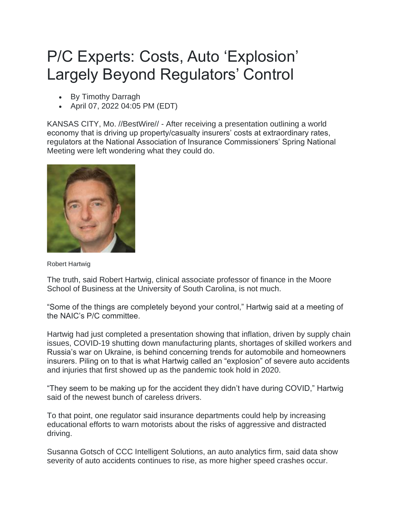## P/C Experts: Costs, Auto 'Explosion' Largely Beyond Regulators' Control

- By Timothy Darragh
- April 07, 2022 04:05 PM (EDT)

KANSAS CITY, Mo. //BestWire// - After receiving a presentation outlining a world economy that is driving up property/casualty insurers' costs at extraordinary rates, regulators at the National Association of Insurance Commissioners' Spring National Meeting were left wondering what they could do.



Robert Hartwig

The truth, said Robert Hartwig, clinical associate professor of finance in the Moore School of Business at the University of South Carolina, is not much.

"Some of the things are completely beyond your control," Hartwig said at a meeting of the NAIC's P/C committee.

Hartwig had just completed a presentation showing that inflation, driven by supply chain issues, COVID-19 shutting down manufacturing plants, shortages of skilled workers and Russia's war on Ukraine, is behind concerning trends for automobile and homeowners insurers. Piling on to that is what Hartwig called an "explosion" of severe auto accidents and injuries that first showed up as the pandemic took hold in 2020.

"They seem to be making up for the accident they didn't have during COVID," Hartwig said of the newest bunch of careless drivers.

To that point, one regulator said insurance departments could help by increasing educational efforts to warn motorists about the risks of aggressive and distracted driving.

Susanna Gotsch of CCC Intelligent Solutions, an auto analytics firm, said data show severity of auto accidents continues to rise, as more higher speed crashes occur.